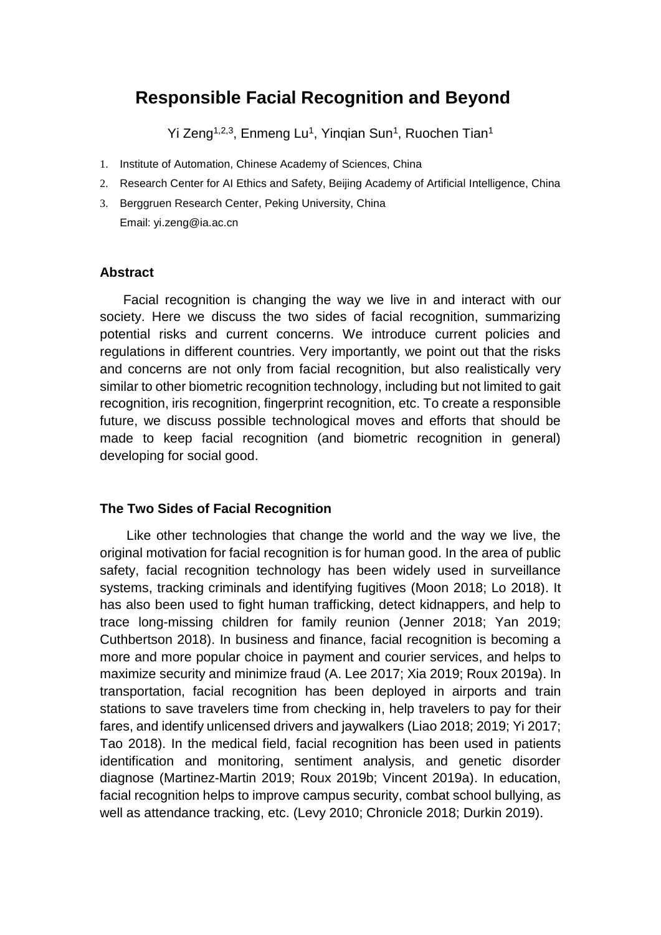# **Responsible Facial Recognition and Beyond**

Yi Zeng<sup>1,2,3</sup>, Enmeng Lu<sup>1</sup>, Yinqian Sun<sup>1</sup>, Ruochen Tian<sup>1</sup>

- 1. Institute of Automation, Chinese Academy of Sciences, China
- 2. Research Center for AI Ethics and Safety, Beijing Academy of Artificial Intelligence, China
- 3. Berggruen Research Center, Peking University, China Email: yi.zeng@ia.ac.cn

### **Abstract**

Facial recognition is changing the way we live in and interact with our society. Here we discuss the two sides of facial recognition, summarizing potential risks and current concerns. We introduce current policies and regulations in different countries. Very importantly, we point out that the risks and concerns are not only from facial recognition, but also realistically very similar to other biometric recognition technology, including but not limited to gait recognition, iris recognition, fingerprint recognition, etc. To create a responsible future, we discuss possible technological moves and efforts that should be made to keep facial recognition (and biometric recognition in general) developing for social good.

#### **The Two Sides of Facial Recognition**

Like other technologies that change the world and the way we live, the original motivation for facial recognition is for human good. In the area of public safety, facial recognition technology has been widely used in surveillance systems, tracking criminals and identifying fugitives (Moon 2018; Lo 2018). It has also been used to fight human trafficking, detect kidnappers, and help to trace long-missing children for family reunion (Jenner 2018; Yan 2019; Cuthbertson 2018). In business and finance, facial recognition is becoming a more and more popular choice in payment and courier services, and helps to maximize security and minimize fraud (A. Lee 2017; Xia 2019; Roux 2019a). In transportation, facial recognition has been deployed in airports and train stations to save travelers time from checking in, help travelers to pay for their fares, and identify unlicensed drivers and jaywalkers (Liao 2018; 2019; Yi 2017; Tao 2018). In the medical field, facial recognition has been used in patients identification and monitoring, sentiment analysis, and genetic disorder diagnose (Martinez-Martin 2019; Roux 2019b; Vincent 2019a). In education, facial recognition helps to improve campus security, combat school bullying, as well as attendance tracking, etc. (Levy 2010; Chronicle 2018; Durkin 2019).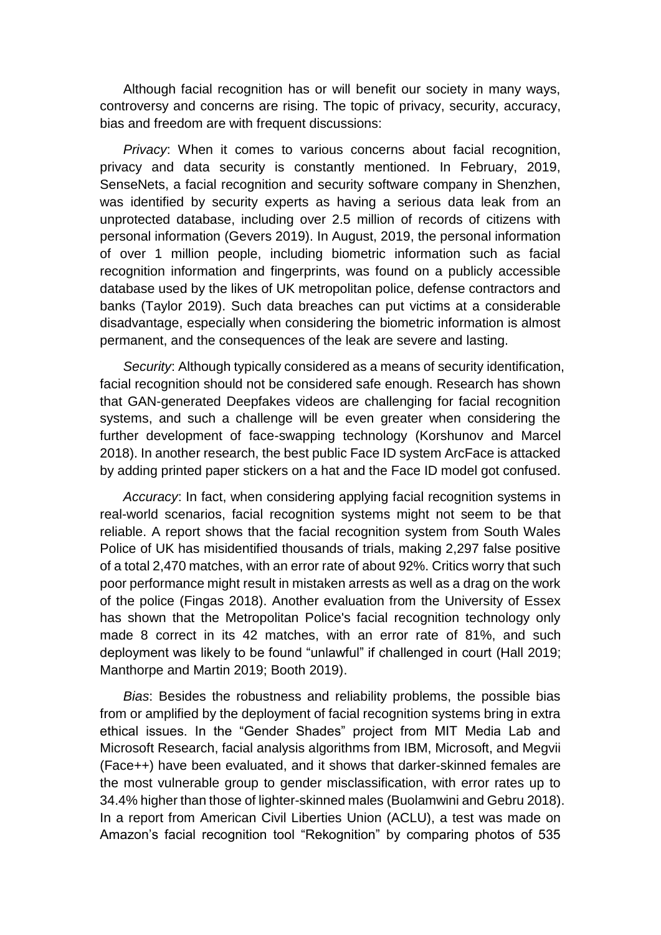Although facial recognition has or will benefit our society in many ways, controversy and concerns are rising. The topic of privacy, security, accuracy, bias and freedom are with frequent discussions:

*Privacy*: When it comes to various concerns about facial recognition, privacy and data security is constantly mentioned. In February, 2019, SenseNets, a facial recognition and security software company in Shenzhen, was identified by security experts as having a serious data leak from an unprotected database, including over 2.5 million of records of citizens with personal information (Gevers 2019). In August, 2019, the personal information of over 1 million people, including biometric information such as facial recognition information and fingerprints, was found on a publicly accessible database used by the likes of UK metropolitan police, defense contractors and banks (Taylor 2019). Such data breaches can put victims at a considerable disadvantage, especially when considering the biometric information is almost permanent, and the consequences of the leak are severe and lasting.

*Security*: Although typically considered as a means of security identification, facial recognition should not be considered safe enough. Research has shown that GAN-generated Deepfakes videos are challenging for facial recognition systems, and such a challenge will be even greater when considering the further development of face-swapping technology (Korshunov and Marcel 2018). In another research, the best public Face ID system ArcFace is attacked by adding printed paper stickers on a hat and the Face ID model got confused.

*Accuracy*: In fact, when considering applying facial recognition systems in real-world scenarios, facial recognition systems might not seem to be that reliable. A report shows that the facial recognition system from South Wales Police of UK has misidentified thousands of trials, making 2,297 false positive of a total 2,470 matches, with an error rate of about 92%. Critics worry that such poor performance might result in mistaken arrests as well as a drag on the work of the police (Fingas 2018). Another evaluation from the University of Essex has shown that the Metropolitan Police's facial recognition technology only made 8 correct in its 42 matches, with an error rate of 81%, and such deployment was likely to be found "unlawful" if challenged in court (Hall 2019; Manthorpe and Martin 2019; Booth 2019).

*Bias*: Besides the robustness and reliability problems, the possible bias from or amplified by the deployment of facial recognition systems bring in extra ethical issues. In the "Gender Shades" project from MIT Media Lab and Microsoft Research, facial analysis algorithms from IBM, Microsoft, and Megvii (Face++) have been evaluated, and it shows that darker-skinned females are the most vulnerable group to gender misclassification, with error rates up to 34.4% higher than those of lighter-skinned males (Buolamwini and Gebru 2018). In a report from American Civil Liberties Union (ACLU), a test was made on Amazon's facial recognition tool "Rekognition" by comparing photos of 535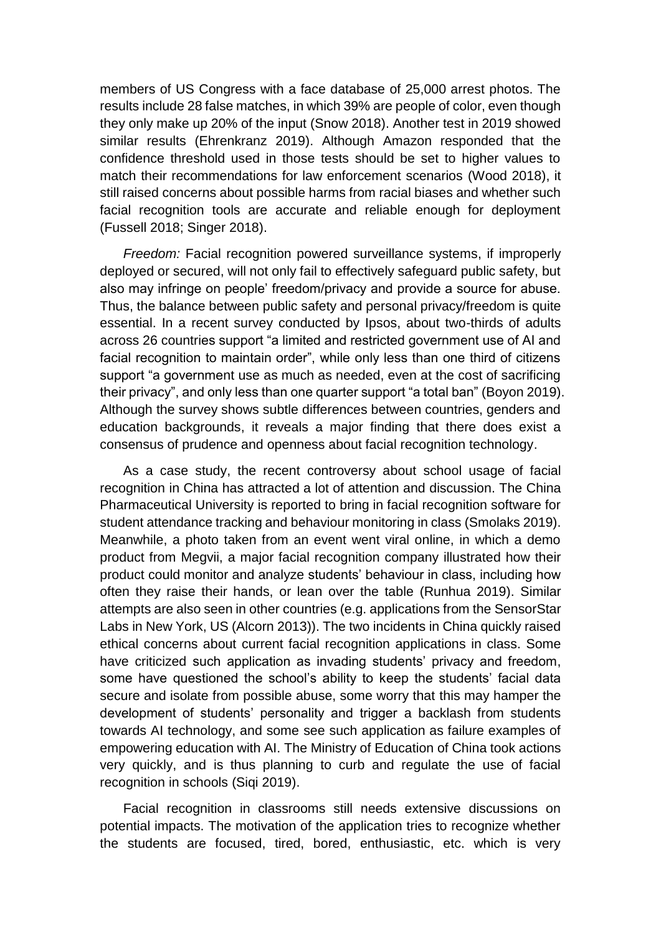members of US Congress with a face database of 25,000 arrest photos. The results include 28 false matches, in which 39% are people of color, even though they only make up 20% of the input (Snow 2018). Another test in 2019 showed similar results (Ehrenkranz 2019). Although Amazon responded that the confidence threshold used in those tests should be set to higher values to match their recommendations for law enforcement scenarios (Wood 2018), it still raised concerns about possible harms from racial biases and whether such facial recognition tools are accurate and reliable enough for deployment (Fussell 2018; Singer 2018).

*Freedom:* Facial recognition powered surveillance systems, if improperly deployed or secured, will not only fail to effectively safeguard public safety, but also may infringe on people' freedom/privacy and provide a source for abuse. Thus, the balance between public safety and personal privacy/freedom is quite essential. In a recent survey conducted by Ipsos, about two-thirds of adults across 26 countries support "a limited and restricted government use of AI and facial recognition to maintain order", while only less than one third of citizens support "a government use as much as needed, even at the cost of sacrificing their privacy", and only less than one quarter support "a total ban" (Boyon 2019). Although the survey shows subtle differences between countries, genders and education backgrounds, it reveals a major finding that there does exist a consensus of prudence and openness about facial recognition technology.

As a case study, the recent controversy about school usage of facial recognition in China has attracted a lot of attention and discussion. The China Pharmaceutical University is reported to bring in facial recognition software for student attendance tracking and behaviour monitoring in class (Smolaks 2019). Meanwhile, a photo taken from an event went viral online, in which a demo product from Megvii, a major facial recognition company illustrated how their product could monitor and analyze students' behaviour in class, including how often they raise their hands, or lean over the table (Runhua 2019). Similar attempts are also seen in other countries (e.g. applications from the SensorStar Labs in New York, US (Alcorn 2013)). The two incidents in China quickly raised ethical concerns about current facial recognition applications in class. Some have criticized such application as invading students' privacy and freedom, some have questioned the school's ability to keep the students' facial data secure and isolate from possible abuse, some worry that this may hamper the development of students' personality and trigger a backlash from students towards AI technology, and some see such application as failure examples of empowering education with AI. The Ministry of Education of China took actions very quickly, and is thus planning to curb and regulate the use of facial recognition in schools (Siqi 2019).

Facial recognition in classrooms still needs extensive discussions on potential impacts. The motivation of the application tries to recognize whether the students are focused, tired, bored, enthusiastic, etc. which is very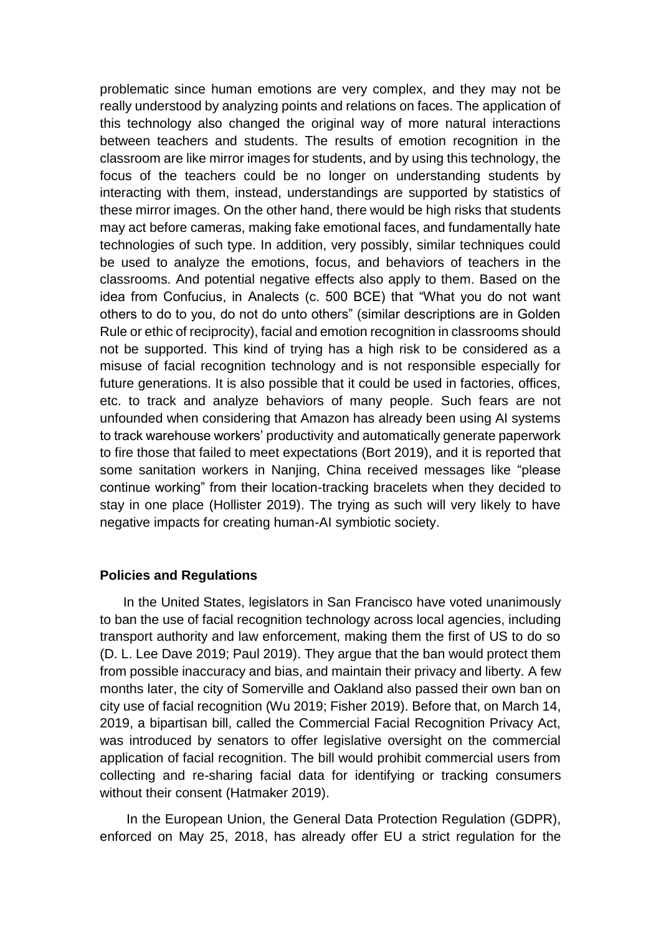problematic since human emotions are very complex, and they may not be really understood by analyzing points and relations on faces. The application of this technology also changed the original way of more natural interactions between teachers and students. The results of emotion recognition in the classroom are like mirror images for students, and by using this technology, the focus of the teachers could be no longer on understanding students by interacting with them, instead, understandings are supported by statistics of these mirror images. On the other hand, there would be high risks that students may act before cameras, making fake emotional faces, and fundamentally hate technologies of such type. In addition, very possibly, similar techniques could be used to analyze the emotions, focus, and behaviors of teachers in the classrooms. And potential negative effects also apply to them. Based on the idea from Confucius, in Analects (c. 500 BCE) that "What you do not want others to do to you, do not do unto others" (similar descriptions are in Golden Rule or ethic of reciprocity), facial and emotion recognition in classrooms should not be supported. This kind of trying has a high risk to be considered as a misuse of facial recognition technology and is not responsible especially for future generations. It is also possible that it could be used in factories, offices, etc. to track and analyze behaviors of many people. Such fears are not unfounded when considering that Amazon has already been using AI systems to track warehouse workers' productivity and automatically generate paperwork to fire those that failed to meet expectations (Bort 2019), and it is reported that some sanitation workers in Nanjing, China received messages like "please continue working" from their location-tracking bracelets when they decided to stay in one place (Hollister 2019). The trying as such will very likely to have negative impacts for creating human-AI symbiotic society.

#### **Policies and Regulations**

In the United States, legislators in San Francisco have voted unanimously to ban the use of facial recognition technology across local agencies, including transport authority and law enforcement, making them the first of US to do so (D. L. Lee Dave 2019; Paul 2019). They argue that the ban would protect them from possible inaccuracy and bias, and maintain their privacy and liberty. A few months later, the city of Somerville and Oakland also passed their own ban on city use of facial recognition (Wu 2019; Fisher 2019). Before that, on March 14, 2019, a bipartisan bill, called the Commercial Facial Recognition Privacy Act, was introduced by senators to offer legislative oversight on the commercial application of facial recognition. The bill would prohibit commercial users from collecting and re-sharing facial data for identifying or tracking consumers without their consent (Hatmaker 2019).

In the European Union, the General Data Protection Regulation (GDPR), enforced on May 25, 2018, has already offer EU a strict regulation for the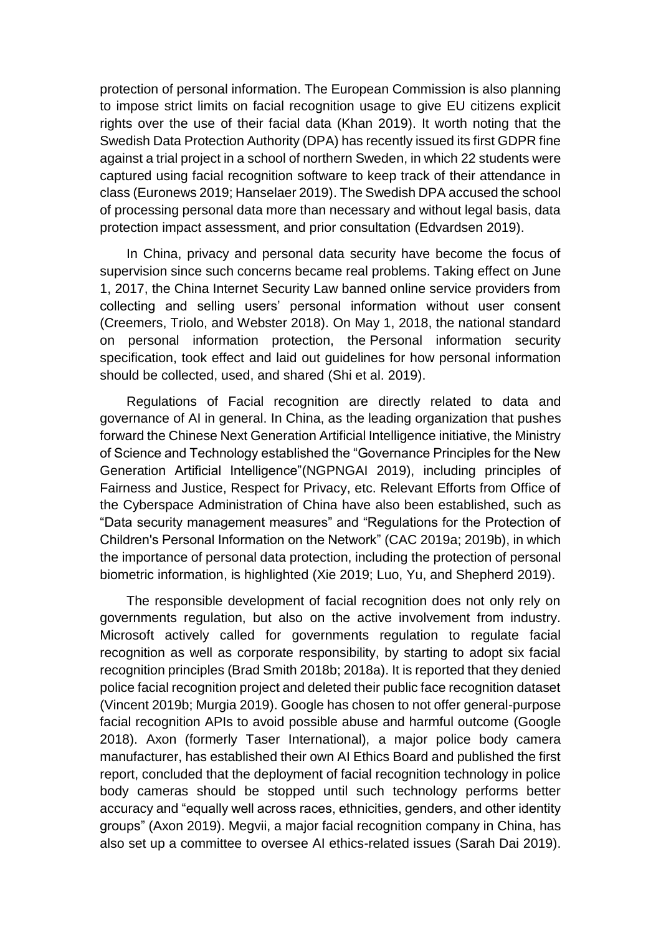protection of personal information. The European Commission is also planning to impose strict limits on facial recognition usage to give EU citizens explicit rights over the use of their facial data (Khan 2019). It worth noting that the Swedish Data Protection Authority (DPA) has recently issued its first GDPR fine against a trial project in a school of northern Sweden, in which 22 students were captured using facial recognition software to keep track of their attendance in class (Euronews 2019; Hanselaer 2019). The Swedish DPA accused the school of processing personal data more than necessary and without legal basis, data protection impact assessment, and prior consultation (Edvardsen 2019).

In China, privacy and personal data security have become the focus of supervision since such concerns became real problems. Taking effect on June 1, 2017, the China Internet Security Law banned online service providers from collecting and selling users' personal information without user consent (Creemers, Triolo, and Webster 2018). On May 1, 2018, the national standard on personal information protection, the Personal information security specification, took effect and laid out guidelines for how personal information should be collected, used, and shared (Shi et al. 2019).

Regulations of Facial recognition are directly related to data and governance of AI in general. In China, as the leading organization that pushes forward the Chinese Next Generation Artificial Intelligence initiative, the Ministry of Science and Technology established the "Governance Principles for the New Generation Artificial Intelligence"(NGPNGAI 2019), including principles of Fairness and Justice, Respect for Privacy, etc. Relevant Efforts from Office of the Cyberspace Administration of China have also been established, such as "Data security management measures" and "Regulations for the Protection of Children's Personal Information on the Network" (CAC 2019a; 2019b), in which the importance of personal data protection, including the protection of personal biometric information, is highlighted (Xie 2019; Luo, Yu, and Shepherd 2019).

The responsible development of facial recognition does not only rely on governments regulation, but also on the active involvement from industry. Microsoft actively called for governments regulation to regulate facial recognition as well as corporate responsibility, by starting to adopt six facial recognition principles (Brad Smith 2018b; 2018a). It is reported that they denied police facial recognition project and deleted their public face recognition dataset (Vincent 2019b; Murgia 2019). Google has chosen to not offer general-purpose facial recognition APIs to avoid possible abuse and harmful outcome (Google 2018). Axon (formerly Taser International), a major police body camera manufacturer, has established their own AI Ethics Board and published the first report, concluded that the deployment of facial recognition technology in police body cameras should be stopped until such technology performs better accuracy and "equally well across races, ethnicities, genders, and other identity groups" (Axon 2019). Megvii, a major facial recognition company in China, has also set up a committee to oversee AI ethics-related issues (Sarah Dai 2019).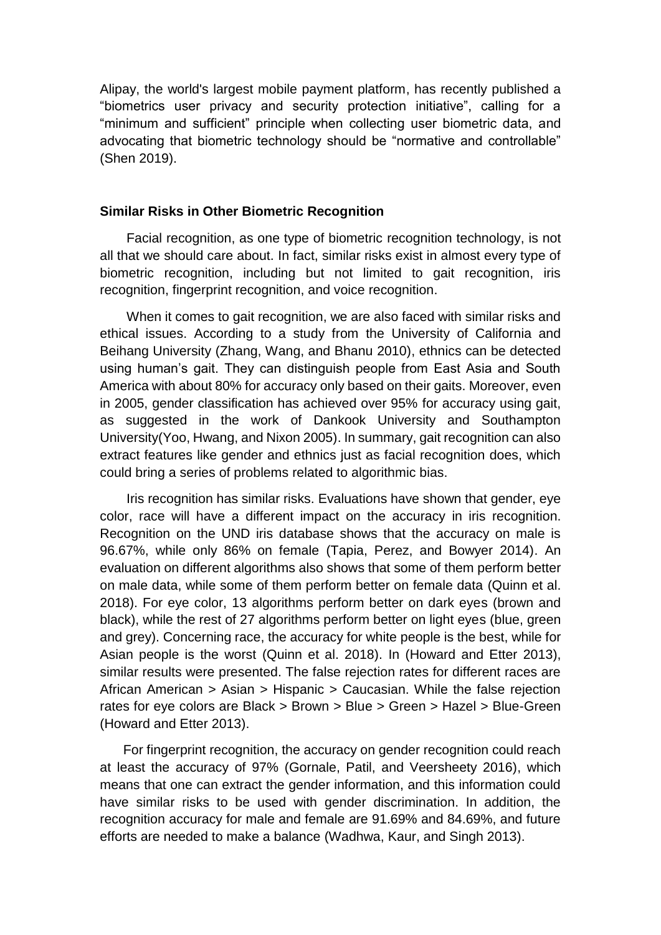Alipay, the world's largest mobile payment platform, has recently published a "biometrics user privacy and security protection initiative", calling for a "minimum and sufficient" principle when collecting user biometric data, and advocating that biometric technology should be "normative and controllable" (Shen 2019).

#### **Similar Risks in Other Biometric Recognition**

Facial recognition, as one type of biometric recognition technology, is not all that we should care about. In fact, similar risks exist in almost every type of biometric recognition, including but not limited to gait recognition, iris recognition, fingerprint recognition, and voice recognition.

When it comes to gait recognition, we are also faced with similar risks and ethical issues. According to a study from the University of California and Beihang University (Zhang, Wang, and Bhanu 2010), ethnics can be detected using human's gait. They can distinguish people from East Asia and South America with about 80% for accuracy only based on their gaits. Moreover, even in 2005, gender classification has achieved over 95% for accuracy using gait, as suggested in the work of Dankook University and Southampton University(Yoo, Hwang, and Nixon 2005). In summary, gait recognition can also extract features like gender and ethnics just as facial recognition does, which could bring a series of problems related to algorithmic bias.

Iris recognition has similar risks. Evaluations have shown that gender, eye color, race will have a different impact on the accuracy in iris recognition. Recognition on the UND iris database shows that the accuracy on male is 96.67%, while only 86% on female (Tapia, Perez, and Bowyer 2014). An evaluation on different algorithms also shows that some of them perform better on male data, while some of them perform better on female data (Quinn et al. 2018). For eye color, 13 algorithms perform better on dark eyes (brown and black), while the rest of 27 algorithms perform better on light eyes (blue, green and grey). Concerning race, the accuracy for white people is the best, while for Asian people is the worst (Quinn et al. 2018). In (Howard and Etter 2013), similar results were presented. The false rejection rates for different races are African American > Asian > Hispanic > Caucasian. While the false rejection rates for eye colors are Black > Brown > Blue > Green > Hazel > Blue-Green (Howard and Etter 2013).

For fingerprint recognition, the accuracy on gender recognition could reach at least the accuracy of 97% (Gornale, Patil, and Veersheety 2016), which means that one can extract the gender information, and this information could have similar risks to be used with gender discrimination. In addition, the recognition accuracy for male and female are 91.69% and 84.69%, and future efforts are needed to make a balance (Wadhwa, Kaur, and Singh 2013).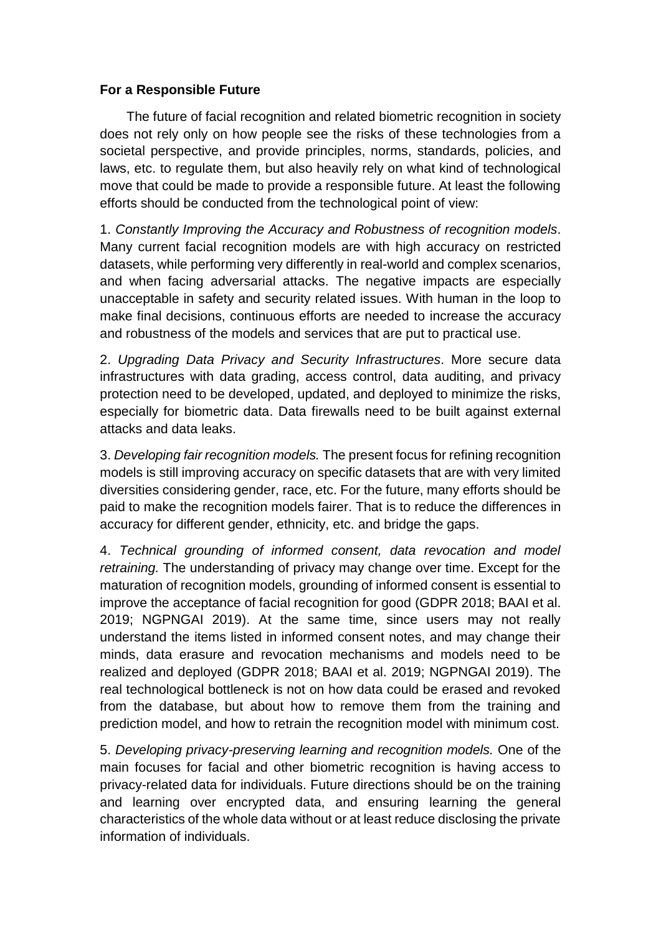## **For a Responsible Future**

The future of facial recognition and related biometric recognition in society does not rely only on how people see the risks of these technologies from a societal perspective, and provide principles, norms, standards, policies, and laws, etc. to regulate them, but also heavily rely on what kind of technological move that could be made to provide a responsible future. At least the following efforts should be conducted from the technological point of view:

1. *Constantly Improving the Accuracy and Robustness of recognition models*. Many current facial recognition models are with high accuracy on restricted datasets, while performing very differently in real-world and complex scenarios, and when facing adversarial attacks. The negative impacts are especially unacceptable in safety and security related issues. With human in the loop to make final decisions, continuous efforts are needed to increase the accuracy and robustness of the models and services that are put to practical use.

2. *Upgrading Data Privacy and Security Infrastructures*. More secure data infrastructures with data grading, access control, data auditing, and privacy protection need to be developed, updated, and deployed to minimize the risks, especially for biometric data. Data firewalls need to be built against external attacks and data leaks.

3. *Developing fair recognition models.* The present focus for refining recognition models is still improving accuracy on specific datasets that are with very limited diversities considering gender, race, etc. For the future, many efforts should be paid to make the recognition models fairer. That is to reduce the differences in accuracy for different gender, ethnicity, etc. and bridge the gaps.

4. *Technical grounding of informed consent, data revocation and model retraining.* The understanding of privacy may change over time. Except for the maturation of recognition models, grounding of informed consent is essential to improve the acceptance of facial recognition for good (GDPR 2018; BAAI et al. 2019; NGPNGAI 2019). At the same time, since users may not really understand the items listed in informed consent notes, and may change their minds, data erasure and revocation mechanisms and models need to be realized and deployed (GDPR 2018; BAAI et al. 2019; NGPNGAI 2019). The real technological bottleneck is not on how data could be erased and revoked from the database, but about how to remove them from the training and prediction model, and how to retrain the recognition model with minimum cost.

5. *Developing privacy-preserving learning and recognition models.* One of the main focuses for facial and other biometric recognition is having access to privacy-related data for individuals. Future directions should be on the training and learning over encrypted data, and ensuring learning the general characteristics of the whole data without or at least reduce disclosing the private information of individuals.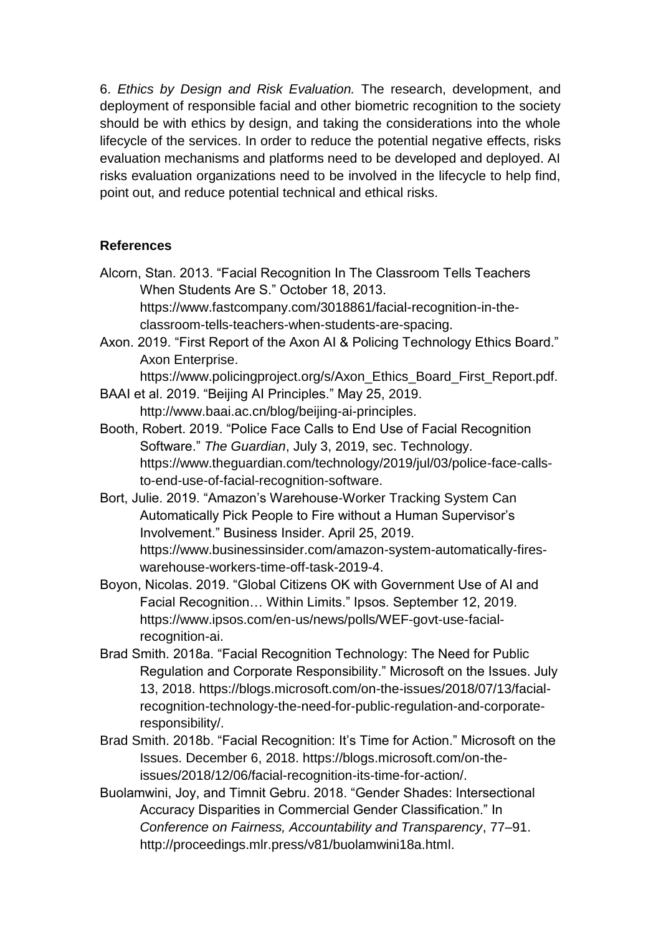6. *Ethics by Design and Risk Evaluation.* The research, development, and deployment of responsible facial and other biometric recognition to the society should be with ethics by design, and taking the considerations into the whole lifecycle of the services. In order to reduce the potential negative effects, risks evaluation mechanisms and platforms need to be developed and deployed. AI risks evaluation organizations need to be involved in the lifecycle to help find, point out, and reduce potential technical and ethical risks.

## **References**

- Alcorn, Stan. 2013. "Facial Recognition In The Classroom Tells Teachers When Students Are S." October 18, 2013. https://www.fastcompany.com/3018861/facial-recognition-in-theclassroom-tells-teachers-when-students-are-spacing.
- Axon. 2019. "First Report of the Axon AI & Policing Technology Ethics Board." Axon Enterprise.

https://www.policingproject.org/s/Axon\_Ethics\_Board\_First\_Report.pdf.

- BAAI et al. 2019. "Beijing AI Principles." May 25, 2019. http://www.baai.ac.cn/blog/beijing-ai-principles.
- Booth, Robert. 2019. "Police Face Calls to End Use of Facial Recognition Software." *The Guardian*, July 3, 2019, sec. Technology. https://www.theguardian.com/technology/2019/jul/03/police-face-callsto-end-use-of-facial-recognition-software.
- Bort, Julie. 2019. "Amazon's Warehouse-Worker Tracking System Can Automatically Pick People to Fire without a Human Supervisor's Involvement." Business Insider. April 25, 2019. https://www.businessinsider.com/amazon-system-automatically-fireswarehouse-workers-time-off-task-2019-4.
- Boyon, Nicolas. 2019. "Global Citizens OK with Government Use of AI and Facial Recognition… Within Limits." Ipsos. September 12, 2019. https://www.ipsos.com/en-us/news/polls/WEF-govt-use-facialrecognition-ai.
- Brad Smith. 2018a. "Facial Recognition Technology: The Need for Public Regulation and Corporate Responsibility." Microsoft on the Issues. July 13, 2018. https://blogs.microsoft.com/on-the-issues/2018/07/13/facialrecognition-technology-the-need-for-public-regulation-and-corporateresponsibility/.
- Brad Smith. 2018b. "Facial Recognition: It's Time for Action." Microsoft on the Issues. December 6, 2018. https://blogs.microsoft.com/on-theissues/2018/12/06/facial-recognition-its-time-for-action/.
- Buolamwini, Joy, and Timnit Gebru. 2018. "Gender Shades: Intersectional Accuracy Disparities in Commercial Gender Classification." In *Conference on Fairness, Accountability and Transparency*, 77–91. http://proceedings.mlr.press/v81/buolamwini18a.html.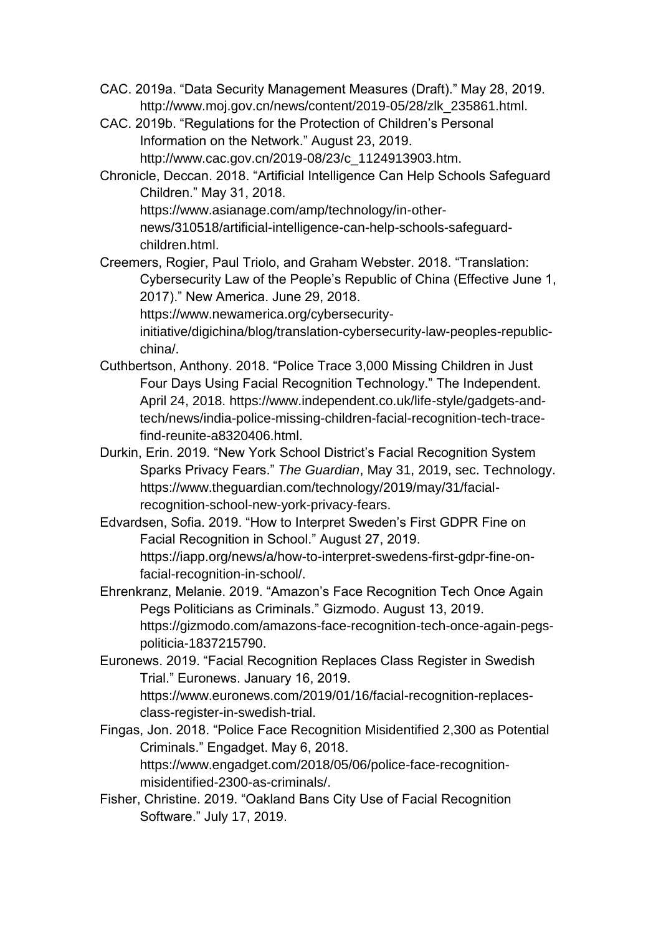- CAC. 2019a. "Data Security Management Measures (Draft)." May 28, 2019. http://www.moj.gov.cn/news/content/2019-05/28/zlk\_235861.html.
- CAC. 2019b. "Regulations for the Protection of Children's Personal Information on the Network." August 23, 2019. http://www.cac.gov.cn/2019-08/23/c\_1124913903.htm.
- Chronicle, Deccan. 2018. "Artificial Intelligence Can Help Schools Safeguard Children." May 31, 2018. https://www.asianage.com/amp/technology/in-other-

news/310518/artificial-intelligence-can-help-schools-safeguardchildren.html.

Creemers, Rogier, Paul Triolo, and Graham Webster. 2018. "Translation: Cybersecurity Law of the People's Republic of China (Effective June 1, 2017)." New America. June 29, 2018.

https://www.newamerica.org/cybersecurity-

initiative/digichina/blog/translation-cybersecurity-law-peoples-republicchina/.

- Cuthbertson, Anthony. 2018. "Police Trace 3,000 Missing Children in Just Four Days Using Facial Recognition Technology." The Independent. April 24, 2018. https://www.independent.co.uk/life-style/gadgets-andtech/news/india-police-missing-children-facial-recognition-tech-tracefind-reunite-a8320406.html.
- Durkin, Erin. 2019. "New York School District's Facial Recognition System Sparks Privacy Fears." *The Guardian*, May 31, 2019, sec. Technology. https://www.theguardian.com/technology/2019/may/31/facialrecognition-school-new-york-privacy-fears.
- Edvardsen, Sofia. 2019. "How to Interpret Sweden's First GDPR Fine on Facial Recognition in School." August 27, 2019. https://iapp.org/news/a/how-to-interpret-swedens-first-gdpr-fine-onfacial-recognition-in-school/.
- Ehrenkranz, Melanie. 2019. "Amazon's Face Recognition Tech Once Again Pegs Politicians as Criminals." Gizmodo. August 13, 2019. https://gizmodo.com/amazons-face-recognition-tech-once-again-pegspoliticia-1837215790.
- Euronews. 2019. "Facial Recognition Replaces Class Register in Swedish Trial." Euronews. January 16, 2019. https://www.euronews.com/2019/01/16/facial-recognition-replacesclass-register-in-swedish-trial.
- Fingas, Jon. 2018. "Police Face Recognition Misidentified 2,300 as Potential Criminals." Engadget. May 6, 2018. https://www.engadget.com/2018/05/06/police-face-recognitionmisidentified-2300-as-criminals/.
- Fisher, Christine. 2019. "Oakland Bans City Use of Facial Recognition Software." July 17, 2019.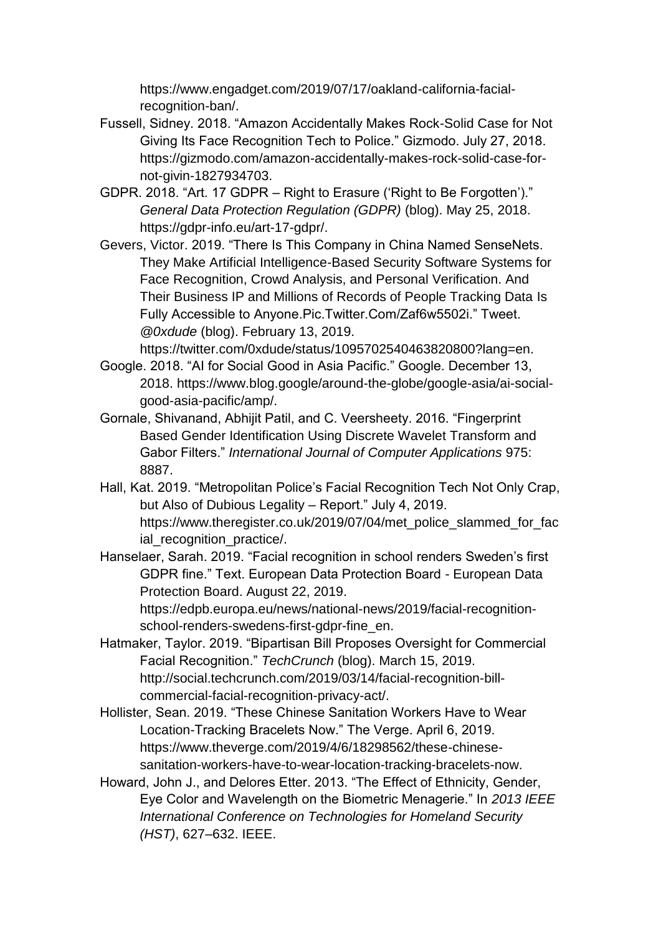https://www.engadget.com/2019/07/17/oakland-california-facialrecognition-ban/.

- Fussell, Sidney. 2018. "Amazon Accidentally Makes Rock-Solid Case for Not Giving Its Face Recognition Tech to Police." Gizmodo. July 27, 2018. https://gizmodo.com/amazon-accidentally-makes-rock-solid-case-fornot-givin-1827934703.
- GDPR. 2018. "Art. 17 GDPR Right to Erasure ('Right to Be Forgotten')." *General Data Protection Regulation (GDPR)* (blog). May 25, 2018. https://gdpr-info.eu/art-17-gdpr/.
- Gevers, Victor. 2019. "There Is This Company in China Named SenseNets. They Make Artificial Intelligence-Based Security Software Systems for Face Recognition, Crowd Analysis, and Personal Verification. And Their Business IP and Millions of Records of People Tracking Data Is Fully Accessible to Anyone.Pic.Twitter.Com/Zaf6w5502i." Tweet. *@0xdude* (blog). February 13, 2019.

https://twitter.com/0xdude/status/1095702540463820800?lang=en.

- Google. 2018. "AI for Social Good in Asia Pacific." Google. December 13, 2018. https://www.blog.google/around-the-globe/google-asia/ai-socialgood-asia-pacific/amp/.
- Gornale, Shivanand, Abhijit Patil, and C. Veersheety. 2016. "Fingerprint Based Gender Identification Using Discrete Wavelet Transform and Gabor Filters." *International Journal of Computer Applications* 975: 8887.
- Hall, Kat. 2019. "Metropolitan Police's Facial Recognition Tech Not Only Crap, but Also of Dubious Legality – Report." July 4, 2019. https://www.theregister.co.uk/2019/07/04/met\_police\_slammed\_for\_fac ial recognition practice/.
- Hanselaer, Sarah. 2019. "Facial recognition in school renders Sweden's first GDPR fine." Text. European Data Protection Board - European Data Protection Board. August 22, 2019.

https://edpb.europa.eu/news/national-news/2019/facial-recognitionschool-renders-swedens-first-gdpr-fine\_en.

- Hatmaker, Taylor. 2019. "Bipartisan Bill Proposes Oversight for Commercial Facial Recognition." *TechCrunch* (blog). March 15, 2019. http://social.techcrunch.com/2019/03/14/facial-recognition-billcommercial-facial-recognition-privacy-act/.
- Hollister, Sean. 2019. "These Chinese Sanitation Workers Have to Wear Location-Tracking Bracelets Now." The Verge. April 6, 2019. https://www.theverge.com/2019/4/6/18298562/these-chinesesanitation-workers-have-to-wear-location-tracking-bracelets-now.
- Howard, John J., and Delores Etter. 2013. "The Effect of Ethnicity, Gender, Eye Color and Wavelength on the Biometric Menagerie." In *2013 IEEE International Conference on Technologies for Homeland Security (HST)*, 627–632. IEEE.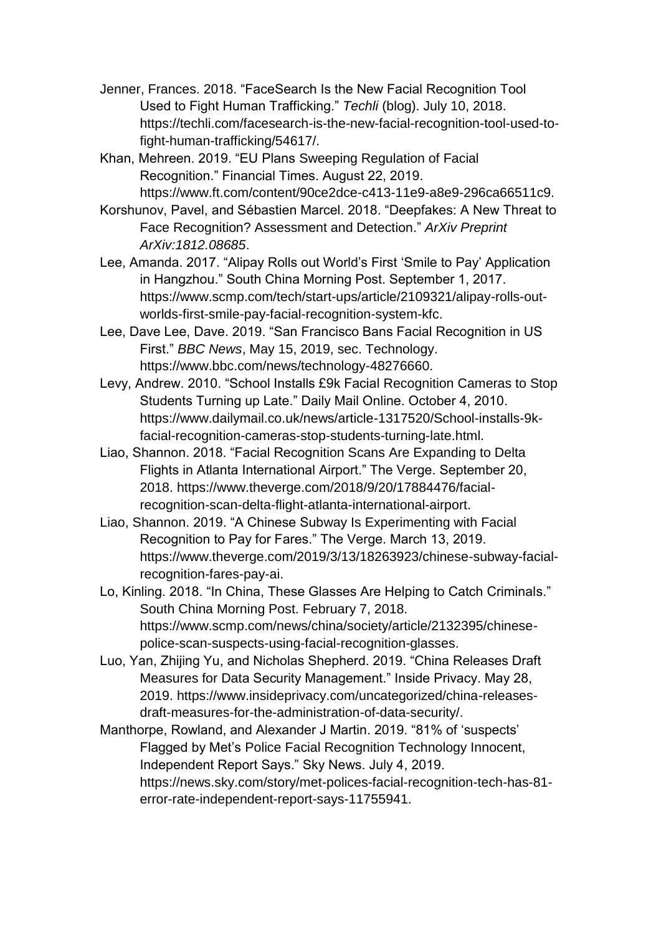- Jenner, Frances. 2018. "FaceSearch Is the New Facial Recognition Tool Used to Fight Human Trafficking." *Techli* (blog). July 10, 2018. https://techli.com/facesearch-is-the-new-facial-recognition-tool-used-tofight-human-trafficking/54617/.
- Khan, Mehreen. 2019. "EU Plans Sweeping Regulation of Facial Recognition." Financial Times. August 22, 2019. https://www.ft.com/content/90ce2dce-c413-11e9-a8e9-296ca66511c9.
- Korshunov, Pavel, and Sébastien Marcel. 2018. "Deepfakes: A New Threat to Face Recognition? Assessment and Detection." *ArXiv Preprint ArXiv:1812.08685*.
- Lee, Amanda. 2017. "Alipay Rolls out World's First 'Smile to Pay' Application in Hangzhou." South China Morning Post. September 1, 2017. https://www.scmp.com/tech/start-ups/article/2109321/alipay-rolls-outworlds-first-smile-pay-facial-recognition-system-kfc.
- Lee, Dave Lee, Dave. 2019. "San Francisco Bans Facial Recognition in US First." *BBC News*, May 15, 2019, sec. Technology. https://www.bbc.com/news/technology-48276660.
- Levy, Andrew. 2010. "School Installs £9k Facial Recognition Cameras to Stop Students Turning up Late." Daily Mail Online. October 4, 2010. https://www.dailymail.co.uk/news/article-1317520/School-installs-9kfacial-recognition-cameras-stop-students-turning-late.html.
- Liao, Shannon. 2018. "Facial Recognition Scans Are Expanding to Delta Flights in Atlanta International Airport." The Verge. September 20, 2018. https://www.theverge.com/2018/9/20/17884476/facialrecognition-scan-delta-flight-atlanta-international-airport.
- Liao, Shannon. 2019. "A Chinese Subway Is Experimenting with Facial Recognition to Pay for Fares." The Verge. March 13, 2019. https://www.theverge.com/2019/3/13/18263923/chinese-subway-facialrecognition-fares-pay-ai.
- Lo, Kinling. 2018. "In China, These Glasses Are Helping to Catch Criminals." South China Morning Post. February 7, 2018. https://www.scmp.com/news/china/society/article/2132395/chinesepolice-scan-suspects-using-facial-recognition-glasses.
- Luo, Yan, Zhijing Yu, and Nicholas Shepherd. 2019. "China Releases Draft Measures for Data Security Management." Inside Privacy. May 28, 2019. https://www.insideprivacy.com/uncategorized/china-releasesdraft-measures-for-the-administration-of-data-security/.
- Manthorpe, Rowland, and Alexander J Martin. 2019. "81% of 'suspects' Flagged by Met's Police Facial Recognition Technology Innocent, Independent Report Says." Sky News. July 4, 2019. https://news.sky.com/story/met-polices-facial-recognition-tech-has-81 error-rate-independent-report-says-11755941.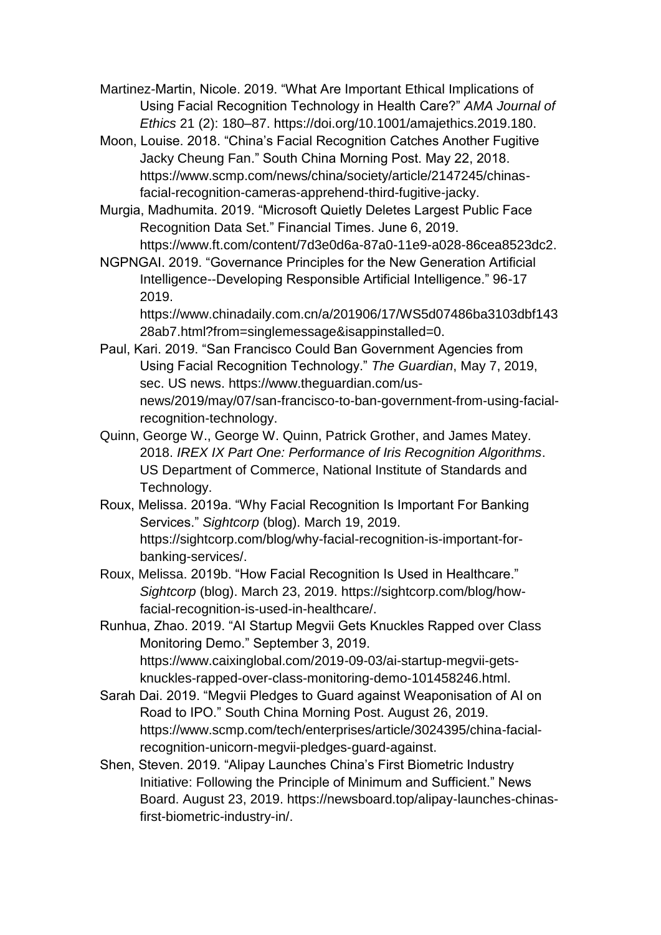Martinez-Martin, Nicole. 2019. "What Are Important Ethical Implications of Using Facial Recognition Technology in Health Care?" *AMA Journal of Ethics* 21 (2): 180–87. https://doi.org/10.1001/amajethics.2019.180.

Moon, Louise. 2018. "China's Facial Recognition Catches Another Fugitive Jacky Cheung Fan." South China Morning Post. May 22, 2018. https://www.scmp.com/news/china/society/article/2147245/chinasfacial-recognition-cameras-apprehend-third-fugitive-jacky.

Murgia, Madhumita. 2019. "Microsoft Quietly Deletes Largest Public Face Recognition Data Set." Financial Times. June 6, 2019. https://www.ft.com/content/7d3e0d6a-87a0-11e9-a028-86cea8523dc2.

NGPNGAI. 2019. "Governance Principles for the New Generation Artificial Intelligence--Developing Responsible Artificial Intelligence." 96-17 2019.

https://www.chinadaily.com.cn/a/201906/17/WS5d07486ba3103dbf143 28ab7.html?from=singlemessage&isappinstalled=0.

- Paul, Kari. 2019. "San Francisco Could Ban Government Agencies from Using Facial Recognition Technology." *The Guardian*, May 7, 2019, sec. US news. https://www.theguardian.com/usnews/2019/may/07/san-francisco-to-ban-government-from-using-facialrecognition-technology.
- Quinn, George W., George W. Quinn, Patrick Grother, and James Matey. 2018. *IREX IX Part One: Performance of Iris Recognition Algorithms*. US Department of Commerce, National Institute of Standards and Technology.
- Roux, Melissa. 2019a. "Why Facial Recognition Is Important For Banking Services." *Sightcorp* (blog). March 19, 2019. https://sightcorp.com/blog/why-facial-recognition-is-important-forbanking-services/.
- Roux, Melissa. 2019b. "How Facial Recognition Is Used in Healthcare." *Sightcorp* (blog). March 23, 2019. https://sightcorp.com/blog/howfacial-recognition-is-used-in-healthcare/.

Runhua, Zhao. 2019. "AI Startup Megvii Gets Knuckles Rapped over Class Monitoring Demo." September 3, 2019. https://www.caixinglobal.com/2019-09-03/ai-startup-megvii-getsknuckles-rapped-over-class-monitoring-demo-101458246.html.

- Sarah Dai. 2019. "Megvii Pledges to Guard against Weaponisation of AI on Road to IPO." South China Morning Post. August 26, 2019. https://www.scmp.com/tech/enterprises/article/3024395/china-facialrecognition-unicorn-megvii-pledges-guard-against.
- Shen, Steven. 2019. "Alipay Launches China's First Biometric Industry Initiative: Following the Principle of Minimum and Sufficient." News Board. August 23, 2019. https://newsboard.top/alipay-launches-chinasfirst-biometric-industry-in/.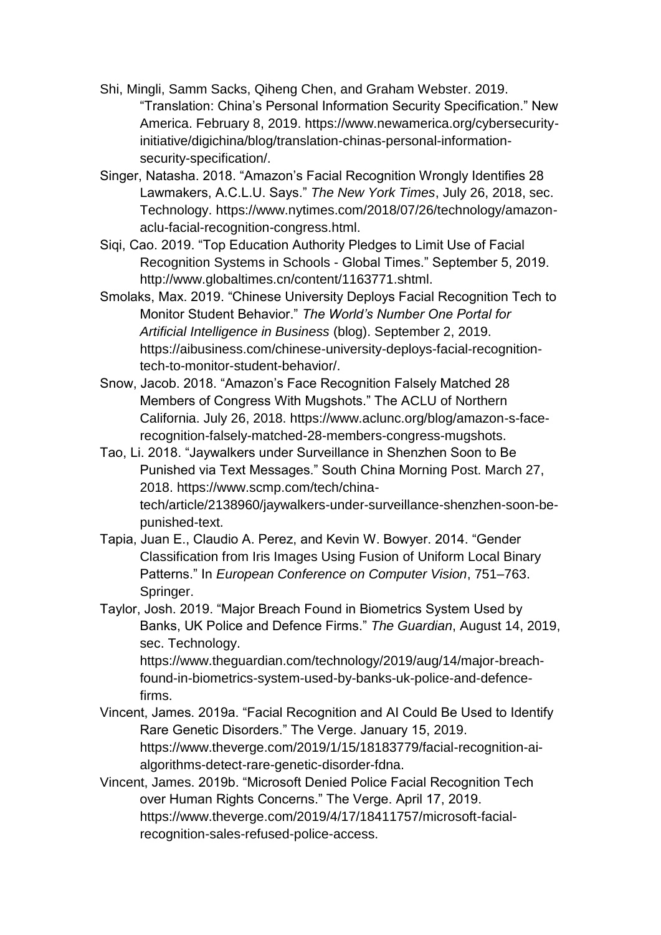- Shi, Mingli, Samm Sacks, Qiheng Chen, and Graham Webster. 2019. "Translation: China's Personal Information Security Specification." New America. February 8, 2019. https://www.newamerica.org/cybersecurityinitiative/digichina/blog/translation-chinas-personal-informationsecurity-specification/.
- Singer, Natasha. 2018. "Amazon's Facial Recognition Wrongly Identifies 28 Lawmakers, A.C.L.U. Says." *The New York Times*, July 26, 2018, sec. Technology. https://www.nytimes.com/2018/07/26/technology/amazonaclu-facial-recognition-congress.html.
- Siqi, Cao. 2019. "Top Education Authority Pledges to Limit Use of Facial Recognition Systems in Schools - Global Times." September 5, 2019. http://www.globaltimes.cn/content/1163771.shtml.
- Smolaks, Max. 2019. "Chinese University Deploys Facial Recognition Tech to Monitor Student Behavior." *The World's Number One Portal for Artificial Intelligence in Business* (blog). September 2, 2019. https://aibusiness.com/chinese-university-deploys-facial-recognitiontech-to-monitor-student-behavior/.
- Snow, Jacob. 2018. "Amazon's Face Recognition Falsely Matched 28 Members of Congress With Mugshots." The ACLU of Northern California. July 26, 2018. https://www.aclunc.org/blog/amazon-s-facerecognition-falsely-matched-28-members-congress-mugshots.
- Tao, Li. 2018. "Jaywalkers under Surveillance in Shenzhen Soon to Be Punished via Text Messages." South China Morning Post. March 27, 2018. https://www.scmp.com/tech/chinatech/article/2138960/jaywalkers-under-surveillance-shenzhen-soon-bepunished-text.
- Tapia, Juan E., Claudio A. Perez, and Kevin W. Bowyer. 2014. "Gender Classification from Iris Images Using Fusion of Uniform Local Binary Patterns." In *European Conference on Computer Vision*, 751–763. Springer.
- Taylor, Josh. 2019. "Major Breach Found in Biometrics System Used by Banks, UK Police and Defence Firms." *The Guardian*, August 14, 2019, sec. Technology.

https://www.theguardian.com/technology/2019/aug/14/major-breachfound-in-biometrics-system-used-by-banks-uk-police-and-defencefirms.

- Vincent, James. 2019a. "Facial Recognition and AI Could Be Used to Identify Rare Genetic Disorders." The Verge. January 15, 2019. https://www.theverge.com/2019/1/15/18183779/facial-recognition-aialgorithms-detect-rare-genetic-disorder-fdna.
- Vincent, James. 2019b. "Microsoft Denied Police Facial Recognition Tech over Human Rights Concerns." The Verge. April 17, 2019. https://www.theverge.com/2019/4/17/18411757/microsoft-facialrecognition-sales-refused-police-access.